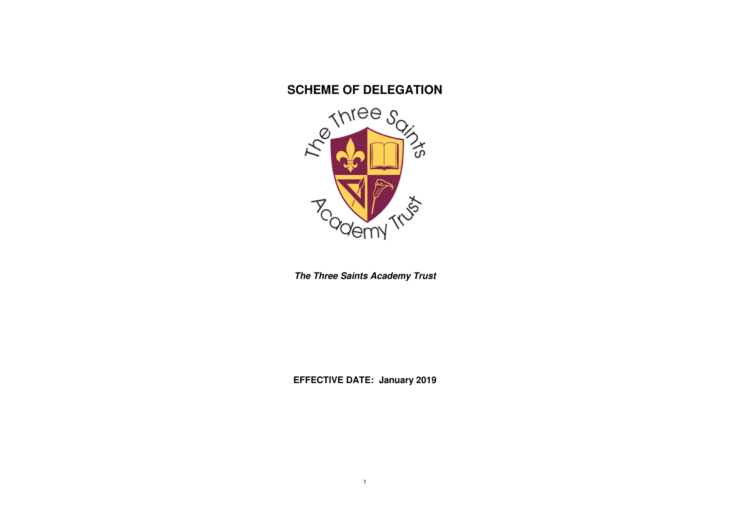# **SCHEME OF DELEGATION**



**The Three Saints Academy Trust** 

**EFFECTIVE DATE: January 2019**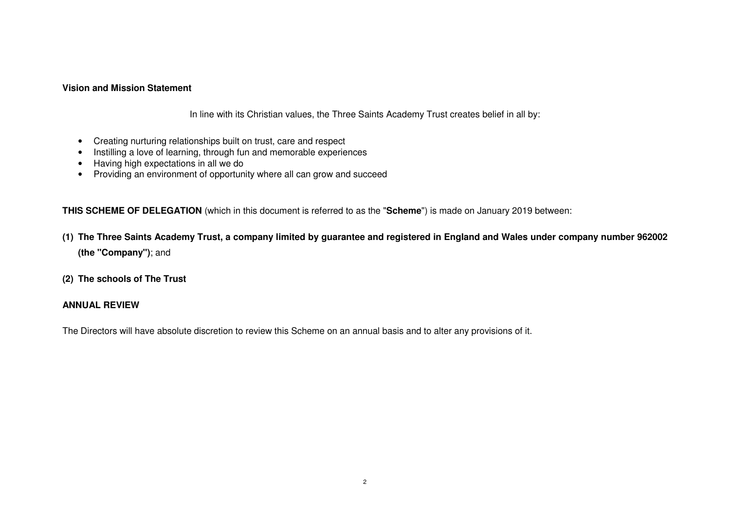#### **Vision and Mission Statement**

In line with its Christian values, the Three Saints Academy Trust creates belief in all by:

- Creating nurturing relationships built on trust, care and respect
- Instilling a love of learning, through fun and memorable experiences
- Having high expectations in all we do
- Providing an environment of opportunity where all can grow and succeed

**THIS SCHEME OF DELEGATION** (which in this document is referred to as the "**Scheme**") is made on January 2019 between:

- **(1) The Three Saints Academy Trust, a company limited by guarantee and registered in England and Wales under company number 962002 (the "Company")**; and
- **(2) The schools of The Trust**

### **ANNUAL REVIEW**

The Directors will have absolute discretion to review this Scheme on an annual basis and to alter any provisions of it.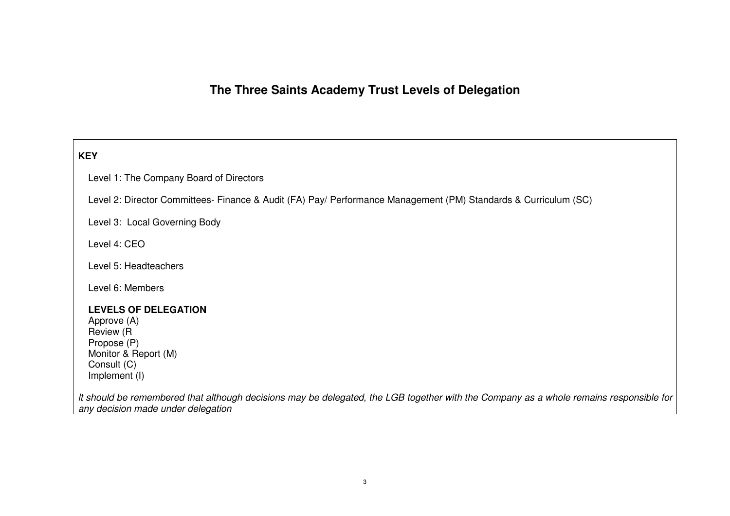# **The Three Saints Academy Trust Levels of Delegation**

# **KEY**

Level 1: The Company Board of Directors

Level 2: Director Committees- Finance & Audit (FA) Pay/ Performance Management (PM) Standards & Curriculum (SC)

Level 3: Local Governing Body

Level 4: CEO

Level 5: Headteachers

Level 6: Members

### **LEVELS OF DELEGATION**

Approve (A) Review (R Propose (P) Monitor & Report (M) Consult (C) Implement (I)

lt should be remembered that although decisions may be delegated, the LGB together with the Company as a whole remains responsible for any decision made under delegation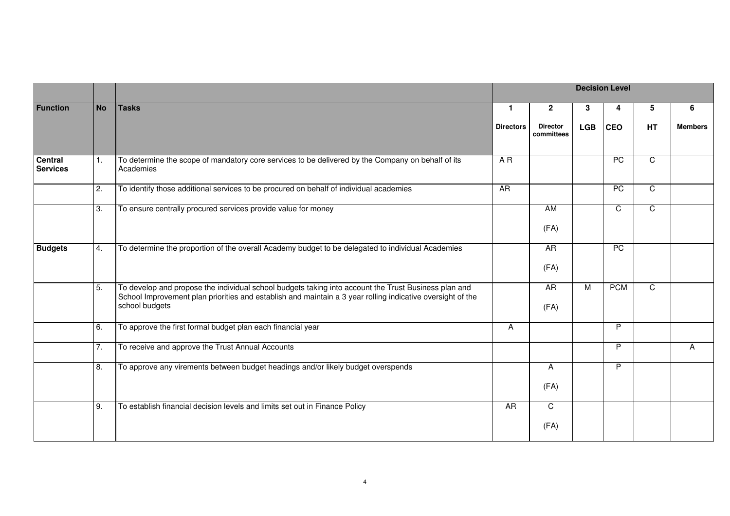|                            |           |                                                                                                                                                                                                                                      |                  | <b>Decision Level</b><br>$\mathbf{2}$<br>3<br>5<br>6<br>4<br><b>CEO</b><br><b>LGB</b><br>HT<br><b>Director</b><br>PC<br>$\overline{C}$<br>$\overline{PC}$<br>$\overline{C}$<br>$\mathsf{C}$<br>C<br>AM<br>(FA) |   |            |              |                |  |  |
|----------------------------|-----------|--------------------------------------------------------------------------------------------------------------------------------------------------------------------------------------------------------------------------------------|------------------|----------------------------------------------------------------------------------------------------------------------------------------------------------------------------------------------------------------|---|------------|--------------|----------------|--|--|
| <b>Function</b>            | <b>No</b> | <b>Tasks</b>                                                                                                                                                                                                                         | $\mathbf{1}$     |                                                                                                                                                                                                                |   |            |              |                |  |  |
|                            |           |                                                                                                                                                                                                                                      | <b>Directors</b> | committees                                                                                                                                                                                                     |   |            |              | <b>Members</b> |  |  |
| Central<br><b>Services</b> | 1.        | To determine the scope of mandatory core services to be delivered by the Company on behalf of its<br>Academies                                                                                                                       | AR               |                                                                                                                                                                                                                |   |            |              |                |  |  |
|                            | 2.        | To identify those additional services to be procured on behalf of individual academies                                                                                                                                               | AR               |                                                                                                                                                                                                                |   |            |              |                |  |  |
|                            | 3.        | To ensure centrally procured services provide value for money                                                                                                                                                                        |                  |                                                                                                                                                                                                                |   |            |              |                |  |  |
| <b>Budgets</b>             | 4.        | To determine the proportion of the overall Academy budget to be delegated to individual Academies                                                                                                                                    |                  | <b>AR</b><br>(FA)                                                                                                                                                                                              |   | PC         |              |                |  |  |
|                            | 5.        | To develop and propose the individual school budgets taking into account the Trust Business plan and<br>School Improvement plan priorities and establish and maintain a 3 year rolling indicative oversight of the<br>school budgets |                  | <b>AR</b><br>(FA)                                                                                                                                                                                              | M | <b>PCM</b> | $\mathsf{C}$ |                |  |  |
|                            | 6.        | To approve the first formal budget plan each financial year                                                                                                                                                                          | A                |                                                                                                                                                                                                                |   | P          |              |                |  |  |
|                            | 7.        | To receive and approve the Trust Annual Accounts                                                                                                                                                                                     |                  |                                                                                                                                                                                                                |   | P          |              | A              |  |  |
|                            | 8.        | To approve any virements between budget headings and/or likely budget overspends                                                                                                                                                     |                  | A<br>(FA)                                                                                                                                                                                                      |   | P          |              |                |  |  |
|                            | 9.        | To establish financial decision levels and limits set out in Finance Policy                                                                                                                                                          | AR               | $\mathsf{C}$<br>(FA)                                                                                                                                                                                           |   |            |              |                |  |  |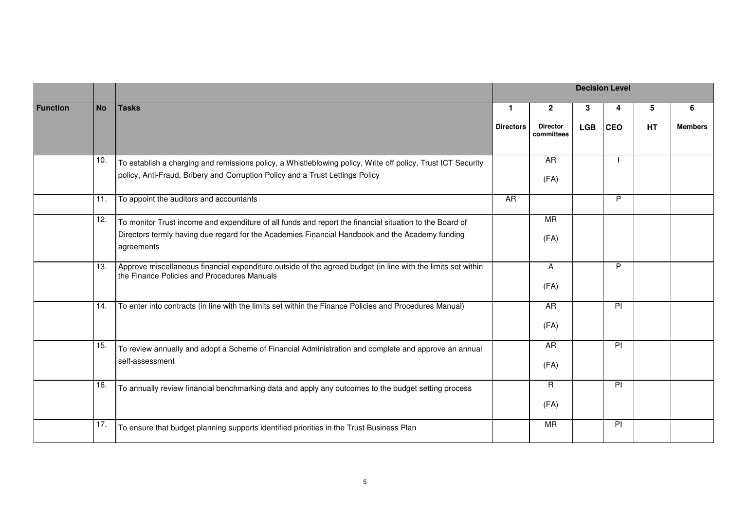|                 |           |                                                                                                                                                                                                                          |                  |                               |            | <b>Decision Level</b> |           |                |
|-----------------|-----------|--------------------------------------------------------------------------------------------------------------------------------------------------------------------------------------------------------------------------|------------------|-------------------------------|------------|-----------------------|-----------|----------------|
| <b>Function</b> | <b>No</b> | <b>Tasks</b>                                                                                                                                                                                                             | $\mathbf{1}$     | $\overline{2}$                | 3          | 4                     | 5         | 6              |
|                 |           |                                                                                                                                                                                                                          | <b>Directors</b> | <b>Director</b><br>committees | <b>LGB</b> | <b>CEO</b>            | <b>HT</b> | <b>Members</b> |
|                 | 10.       | To establish a charging and remissions policy, a Whistleblowing policy, Write off policy, Trust ICT Security<br>policy, Anti-Fraud, Bribery and Corruption Policy and a Trust Lettings Policy                            |                  | A <sub>R</sub><br>(FA)        |            |                       |           |                |
|                 | 11.       | To appoint the auditors and accountants                                                                                                                                                                                  | AR               |                               |            | P                     |           |                |
|                 | 12.       | To monitor Trust income and expenditure of all funds and report the financial situation to the Board of<br>Directors termly having due regard for the Academies Financial Handbook and the Academy funding<br>agreements |                  | <b>MR</b><br>(FA)             |            |                       |           |                |
|                 | 13.       | Approve miscellaneous financial expenditure outside of the agreed budget (in line with the limits set within<br>the Finance Policies and Procedures Manuals                                                              |                  | $\mathsf{A}$<br>(FA)          |            | P                     |           |                |
|                 | 14.       | To enter into contracts (in line with the limits set within the Finance Policies and Procedures Manual)                                                                                                                  |                  | <b>AR</b><br>(FA)             |            | PI                    |           |                |
|                 | 15.       | To review annually and adopt a Scheme of Financial Administration and complete and approve an annual<br>self-assessment                                                                                                  |                  | AR<br>(FA)                    |            | PI                    |           |                |
|                 | 16.       | To annually review financial benchmarking data and apply any outcomes to the budget setting process                                                                                                                      |                  | R.<br>(FA)                    |            | PI                    |           |                |
|                 | 17.       | To ensure that budget planning supports identified priorities in the Trust Business Plan                                                                                                                                 |                  | <b>MR</b>                     |            | PI                    |           |                |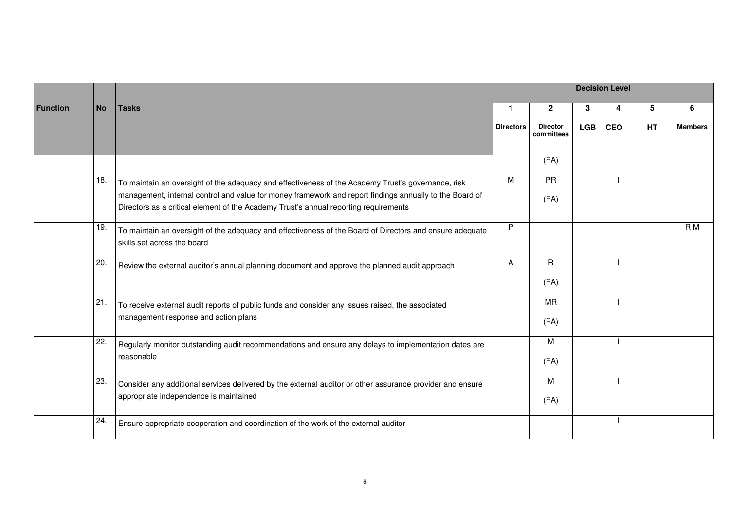|                 |           |                                                                                                                                                                                                                                                                                                       |                  |                               |            | <b>Decision Level</b> |    |                |
|-----------------|-----------|-------------------------------------------------------------------------------------------------------------------------------------------------------------------------------------------------------------------------------------------------------------------------------------------------------|------------------|-------------------------------|------------|-----------------------|----|----------------|
| <b>Function</b> | <b>No</b> | <b>Tasks</b>                                                                                                                                                                                                                                                                                          | $\mathbf{1}$     | $\mathbf{2}$                  | 3          | 4                     | 5  | 6              |
|                 |           |                                                                                                                                                                                                                                                                                                       | <b>Directors</b> | <b>Director</b><br>committees | <b>LGB</b> | <b>CEO</b>            | HT | <b>Members</b> |
|                 |           |                                                                                                                                                                                                                                                                                                       |                  | (FA)                          |            |                       |    |                |
|                 | 18.       | To maintain an oversight of the adequacy and effectiveness of the Academy Trust's governance, risk<br>management, internal control and value for money framework and report findings annually to the Board of<br>Directors as a critical element of the Academy Trust's annual reporting requirements | M                | PR<br>(FA)                    |            |                       |    |                |
|                 | 19.       | To maintain an oversight of the adequacy and effectiveness of the Board of Directors and ensure adequate<br>skills set across the board                                                                                                                                                               | P                |                               |            |                       |    | R <sub>M</sub> |
|                 | 20.       | Review the external auditor's annual planning document and approve the planned audit approach                                                                                                                                                                                                         | A                | R<br>(FA)                     |            |                       |    |                |
|                 | 21.       | To receive external audit reports of public funds and consider any issues raised, the associated<br>management response and action plans                                                                                                                                                              |                  | <b>MR</b><br>(FA)             |            |                       |    |                |
|                 | 22.       | Regularly monitor outstanding audit recommendations and ensure any delays to implementation dates are<br>reasonable                                                                                                                                                                                   |                  | M<br>(FA)                     |            |                       |    |                |
|                 | 23.       | Consider any additional services delivered by the external auditor or other assurance provider and ensure<br>appropriate independence is maintained                                                                                                                                                   |                  | M<br>(FA)                     |            |                       |    |                |
|                 | 24.       | Ensure appropriate cooperation and coordination of the work of the external auditor                                                                                                                                                                                                                   |                  |                               |            |                       |    |                |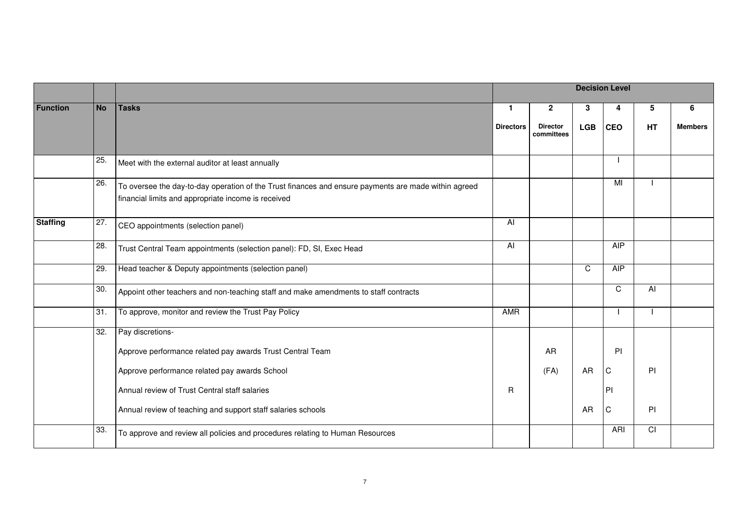|                 |           |                                                                                                                                                             |                  |                               |            | <b>Decision Level</b> |                |                |
|-----------------|-----------|-------------------------------------------------------------------------------------------------------------------------------------------------------------|------------------|-------------------------------|------------|-----------------------|----------------|----------------|
| <b>Function</b> | <b>No</b> | <b>Tasks</b>                                                                                                                                                | $\mathbf{1}$     | $\mathbf{2}$                  | 3          | 4                     | 5              | 6              |
|                 |           |                                                                                                                                                             | <b>Directors</b> | <b>Director</b><br>committees | <b>LGB</b> | <b>CEO</b>            | HT             | <b>Members</b> |
|                 | 25.       | Meet with the external auditor at least annually                                                                                                            |                  |                               |            |                       |                |                |
|                 | 26.       | To oversee the day-to-day operation of the Trust finances and ensure payments are made within agreed<br>financial limits and appropriate income is received |                  |                               |            | MI                    |                |                |
| <b>Staffing</b> | 27.       | CEO appointments (selection panel)                                                                                                                          | Al               |                               |            |                       |                |                |
|                 | 28.       | Trust Central Team appointments (selection panel): FD, SI, Exec Head                                                                                        | $\overline{AI}$  |                               |            | <b>AIP</b>            |                |                |
|                 | 29.       | Head teacher & Deputy appointments (selection panel)                                                                                                        |                  |                               | C.         | $\overline{AIP}$      |                |                |
|                 | 30.       | Appoint other teachers and non-teaching staff and make amendments to staff contracts                                                                        |                  |                               |            | C                     | AI             |                |
|                 | 31.       | To approve, monitor and review the Trust Pay Policy                                                                                                         | AMR              |                               |            |                       |                |                |
|                 | 32.       | Pay discretions-                                                                                                                                            |                  |                               |            |                       |                |                |
|                 |           | Approve performance related pay awards Trust Central Team                                                                                                   |                  | AR                            |            | PI                    |                |                |
|                 |           | Approve performance related pay awards School                                                                                                               |                  | (FA)                          | AR         | C                     | PI             |                |
|                 |           | Annual review of Trust Central staff salaries                                                                                                               | R                |                               |            | PI                    |                |                |
|                 |           | Annual review of teaching and support staff salaries schools                                                                                                |                  |                               | AR         | $\mathbf C$           | PI             |                |
|                 | 33.       | To approve and review all policies and procedures relating to Human Resources                                                                               |                  |                               |            | <b>ARI</b>            | $\overline{C}$ |                |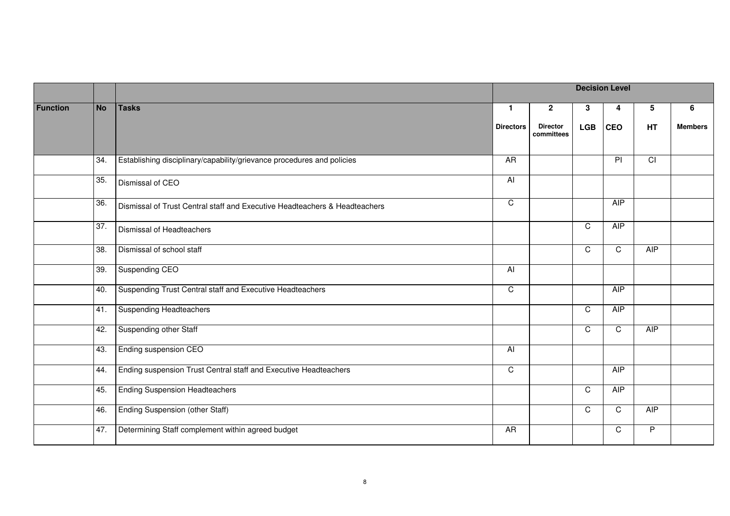|                 |           |                                                                            |                  |                               |             | <b>Decision Level</b> |                  |                |
|-----------------|-----------|----------------------------------------------------------------------------|------------------|-------------------------------|-------------|-----------------------|------------------|----------------|
| <b>Function</b> | <b>No</b> | <b>Tasks</b>                                                               | $\mathbf{1}$     | $\mathbf{2}$                  | 3           | 4                     | 5                | 6              |
|                 |           |                                                                            | <b>Directors</b> | <b>Director</b><br>committees | <b>LGB</b>  | <b>CEO</b>            | HT               | <b>Members</b> |
|                 | 34.       | Establishing disciplinary/capability/grievance procedures and policies     | A <sub>R</sub>   |                               |             | P                     | $\overline{CI}$  |                |
|                 | 35.       | Dismissal of CEO                                                           | Al               |                               |             |                       |                  |                |
|                 | 36.       | Dismissal of Trust Central staff and Executive Headteachers & Headteachers | $\overline{C}$   |                               |             | $\overline{AIP}$      |                  |                |
|                 | 37.       | Dismissal of Headteachers                                                  |                  |                               | C           | <b>AIP</b>            |                  |                |
|                 | 38.       | Dismissal of school staff                                                  |                  |                               | C           | $\mathsf C$           | AIP              |                |
|                 | 39.       | Suspending CEO                                                             | $\overline{A}$   |                               |             |                       |                  |                |
|                 | 40.       | Suspending Trust Central staff and Executive Headteachers                  | $\overline{C}$   |                               |             | <b>AIP</b>            |                  |                |
|                 | 41.       | <b>Suspending Headteachers</b>                                             |                  |                               | $\mathsf C$ | $\overline{AIP}$      |                  |                |
|                 | 42.       | <b>Suspending other Staff</b>                                              |                  |                               | C.          | C                     | $\overline{AIP}$ |                |
|                 | 43.       | Ending suspension CEO                                                      | $\overline{AI}$  |                               |             |                       |                  |                |
|                 | 44.       | Ending suspension Trust Central staff and Executive Headteachers           | $\mathsf C$      |                               |             | AIP                   |                  |                |
|                 | 45.       | <b>Ending Suspension Headteachers</b>                                      |                  |                               | C           | <b>AIP</b>            |                  |                |
|                 | 46.       | Ending Suspension (other Staff)                                            |                  |                               | C           | $\mathsf C$           | $\overline{AIP}$ |                |
|                 | 47.       | Determining Staff complement within agreed budget                          | AR               |                               |             | $\mathsf C$           | P.               |                |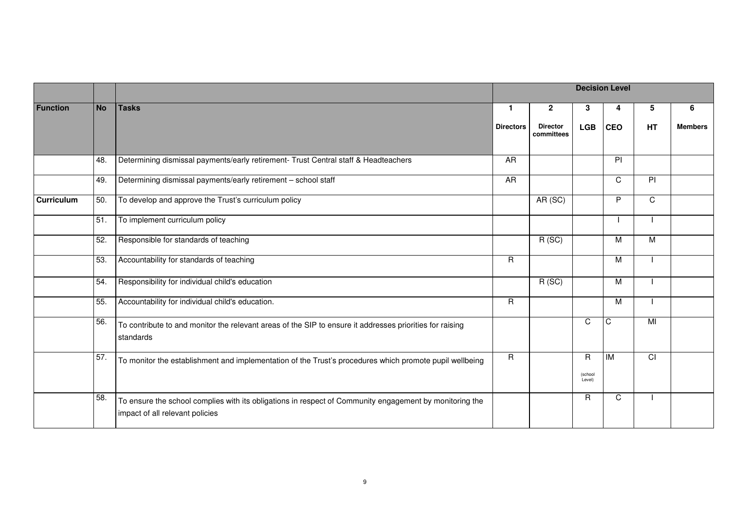|                   |           |                                                                                                                                            |                  |                               |                        | <b>Decision Level</b> |                |                |
|-------------------|-----------|--------------------------------------------------------------------------------------------------------------------------------------------|------------------|-------------------------------|------------------------|-----------------------|----------------|----------------|
| <b>Function</b>   | <b>No</b> | <b>Tasks</b>                                                                                                                               | -1               | $\mathbf{2}$                  | 3                      | 4                     | 5              | 6              |
|                   |           |                                                                                                                                            | <b>Directors</b> | <b>Director</b><br>committees | <b>LGB</b>             | <b>CEO</b>            | HT             | <b>Members</b> |
|                   | 48.       | Determining dismissal payments/early retirement- Trust Central staff & Headteachers                                                        | AR               |                               |                        | $\overline{P}$        |                |                |
|                   | 49.       | Determining dismissal payments/early retirement - school staff                                                                             | AR               |                               |                        | C                     | $\overline{P}$ |                |
| <b>Curriculum</b> | 50.       | To develop and approve the Trust's curriculum policy                                                                                       |                  | AR (SC)                       |                        | P                     | C              |                |
|                   | 51.       | To implement curriculum policy                                                                                                             |                  |                               |                        |                       |                |                |
|                   | 52.       | Responsible for standards of teaching                                                                                                      |                  | R(SC)                         |                        | м                     | М              |                |
|                   | 53.       | Accountability for standards of teaching                                                                                                   | $\overline{R}$   |                               |                        | M                     |                |                |
|                   | 54.       | Responsibility for individual child's education                                                                                            |                  | $\overline{R(SC)}$            |                        | м                     |                |                |
|                   | 55.       | Accountability for individual child's education.                                                                                           | $\mathsf{R}$     |                               |                        | M                     |                |                |
|                   | 56.       | To contribute to and monitor the relevant areas of the SIP to ensure it addresses priorities for raising<br>standards                      |                  |                               | C                      | C                     | MI             |                |
|                   | 57.       | To monitor the establishment and implementation of the Trust's procedures which promote pupil wellbeing                                    | $\mathsf R$      |                               | R<br>(school<br>Level) | IM                    | CI             |                |
|                   | 58.       | To ensure the school complies with its obligations in respect of Community engagement by monitoring the<br>impact of all relevant policies |                  |                               | R.                     | C                     |                |                |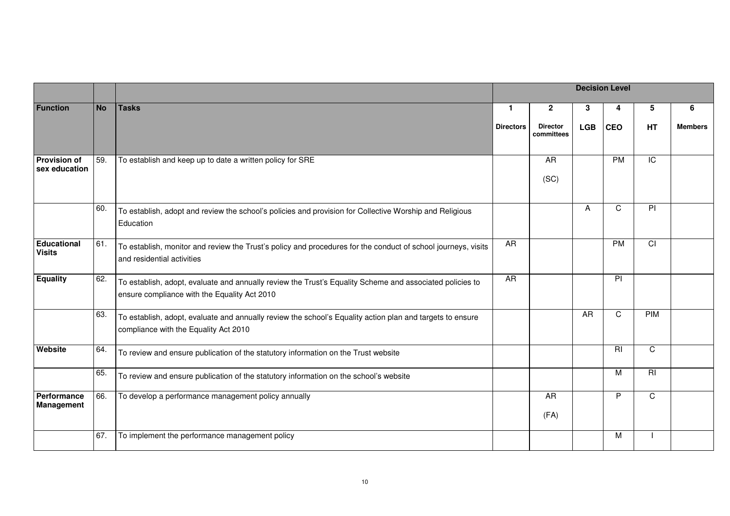|                                      |           |                                                                                                                                                          |                  |                               |            | <b>Decision Level</b> |                |                |
|--------------------------------------|-----------|----------------------------------------------------------------------------------------------------------------------------------------------------------|------------------|-------------------------------|------------|-----------------------|----------------|----------------|
| <b>Function</b>                      | <b>No</b> | <b>Tasks</b>                                                                                                                                             | -1               | $\mathbf{2}$                  | 3          | 4                     | 5              | 6              |
|                                      |           |                                                                                                                                                          | <b>Directors</b> | <b>Director</b><br>committees | <b>LGB</b> | <b>CEO</b>            | HT             | <b>Members</b> |
| <b>Provision of</b><br>sex education | 59.       | To establish and keep up to date a written policy for SRE                                                                                                |                  | AR<br>(SC)                    |            | PM                    | $\overline{C}$ |                |
|                                      | 60.       | To establish, adopt and review the school's policies and provision for Collective Worship and Religious<br>Education                                     |                  |                               | A          | C                     | $\overline{P}$ |                |
| <b>Educational</b><br><b>Visits</b>  | 61.       | To establish, monitor and review the Trust's policy and procedures for the conduct of school journeys, visits<br>and residential activities              | <b>AR</b>        |                               |            | PM                    | $\overline{C}$ |                |
| <b>Equality</b>                      | 62.       | To establish, adopt, evaluate and annually review the Trust's Equality Scheme and associated policies to<br>ensure compliance with the Equality Act 2010 | A <sub>R</sub>   |                               |            | PI                    |                |                |
|                                      | 63.       | To establish, adopt, evaluate and annually review the school's Equality action plan and targets to ensure<br>compliance with the Equality Act 2010       |                  |                               | AR         | $\mathsf{C}$          | <b>PIM</b>     |                |
| Website                              | 64.       | To review and ensure publication of the statutory information on the Trust website                                                                       |                  |                               |            | RI                    | $\mathsf C$    |                |
|                                      | 65.       | To review and ensure publication of the statutory information on the school's website                                                                    |                  |                               |            | м                     | $\overline{R}$ |                |
| Performance<br><b>Management</b>     | 66.       | To develop a performance management policy annually                                                                                                      |                  | <b>AR</b><br>(FA)             |            | P                     | $\overline{C}$ |                |
|                                      | 67.       | To implement the performance management policy                                                                                                           |                  |                               |            | м                     |                |                |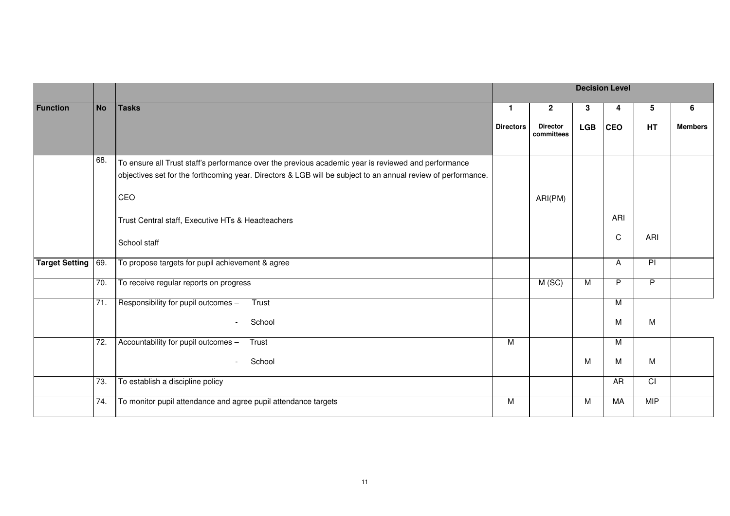|                       |                   |                                                                                                                                                                                                                            |                  |                               |            | <b>Decision Level</b> |                 |                |
|-----------------------|-------------------|----------------------------------------------------------------------------------------------------------------------------------------------------------------------------------------------------------------------------|------------------|-------------------------------|------------|-----------------------|-----------------|----------------|
| <b>Function</b>       | <b>No</b>         | <b>Tasks</b>                                                                                                                                                                                                               | $\mathbf{1}$     | $\overline{2}$                | 3          | 4                     | 5               | 6              |
|                       |                   |                                                                                                                                                                                                                            | <b>Directors</b> | <b>Director</b><br>committees | <b>LGB</b> | <b>CEO</b>            | HT              | <b>Members</b> |
|                       | 68.               | To ensure all Trust staff's performance over the previous academic year is reviewed and performance<br>objectives set for the forthcoming year. Directors & LGB will be subject to an annual review of performance.<br>CEO |                  | ARI(PM)                       |            |                       |                 |                |
|                       |                   | Trust Central staff, Executive HTs & Headteachers<br>School staff                                                                                                                                                          |                  |                               |            | ARI<br>$\mathbf C$    | ARI             |                |
| <b>Target Setting</b> | 69.               | To propose targets for pupil achievement & agree                                                                                                                                                                           |                  |                               |            | A                     | $\overline{P}$  |                |
|                       | 70.               | To receive regular reports on progress                                                                                                                                                                                     |                  | M(SC)                         | M          | P                     | $\overline{P}$  |                |
|                       | 71.               | Responsibility for pupil outcomes -<br>Trust<br>School<br>$\overline{a}$                                                                                                                                                   |                  |                               |            | M<br>M                | M               |                |
|                       | $\overline{72}$ . | Accountability for pupil outcomes -<br>Trust<br>School<br>$\overline{\phantom{a}}$                                                                                                                                         | M                |                               | M          | M<br>M                | M               |                |
|                       | 73.               | To establish a discipline policy                                                                                                                                                                                           |                  |                               |            | AR                    | $\overline{CI}$ |                |
|                       | 74.               | To monitor pupil attendance and agree pupil attendance targets                                                                                                                                                             | M                |                               | M          | <b>MA</b>             | <b>MIP</b>      |                |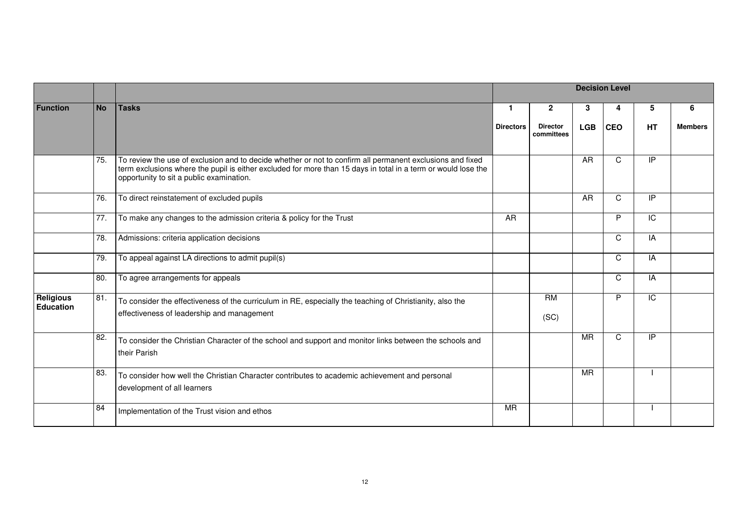|                                      |           |                                                                                                                                                                                                                                                                        |                  |                               |            | <b>Decision Level</b> |                 |                |
|--------------------------------------|-----------|------------------------------------------------------------------------------------------------------------------------------------------------------------------------------------------------------------------------------------------------------------------------|------------------|-------------------------------|------------|-----------------------|-----------------|----------------|
| <b>Function</b>                      | <b>No</b> | <b>Tasks</b>                                                                                                                                                                                                                                                           | $\mathbf 1$      | $\mathbf{2}$                  | 3          | 4                     | 5               | 6              |
|                                      |           |                                                                                                                                                                                                                                                                        | <b>Directors</b> | <b>Director</b><br>committees | <b>LGB</b> | <b>CEO</b>            | <b>HT</b>       | <b>Members</b> |
|                                      | 75.       | To review the use of exclusion and to decide whether or not to confirm all permanent exclusions and fixed<br>term exclusions where the pupil is either excluded for more than 15 days in total in a term or would lose the<br>opportunity to sit a public examination. |                  |                               | AR         | C                     | IP              |                |
|                                      | 76.       | To direct reinstatement of excluded pupils                                                                                                                                                                                                                             |                  |                               | AR         | C                     | $\overline{P}$  |                |
|                                      | 77.       | To make any changes to the admission criteria & policy for the Trust                                                                                                                                                                                                   | <b>AR</b>        |                               |            | P                     | IC              |                |
|                                      | 78.       | Admissions: criteria application decisions                                                                                                                                                                                                                             |                  |                               |            | C                     | IA              |                |
|                                      | 79.       | To appeal against LA directions to admit pupil(s)                                                                                                                                                                                                                      |                  |                               |            | C                     | IA              |                |
|                                      | 80.       | To agree arrangements for appeals                                                                                                                                                                                                                                      |                  |                               |            | C                     | IA              |                |
| <b>Religious</b><br><b>Education</b> | 81.       | To consider the effectiveness of the curriculum in RE, especially the teaching of Christianity, also the<br>effectiveness of leadership and management                                                                                                                 |                  | <b>RM</b><br>(SC)             |            | P                     | $\overline{IC}$ |                |
|                                      | 82.       | To consider the Christian Character of the school and support and monitor links between the schools and<br>their Parish                                                                                                                                                |                  |                               | <b>MR</b>  | C                     | $\overline{P}$  |                |
|                                      | 83.       | To consider how well the Christian Character contributes to academic achievement and personal<br>development of all learners                                                                                                                                           |                  |                               | <b>MR</b>  |                       |                 |                |
|                                      | 84        | Implementation of the Trust vision and ethos                                                                                                                                                                                                                           | <b>MR</b>        |                               |            |                       |                 |                |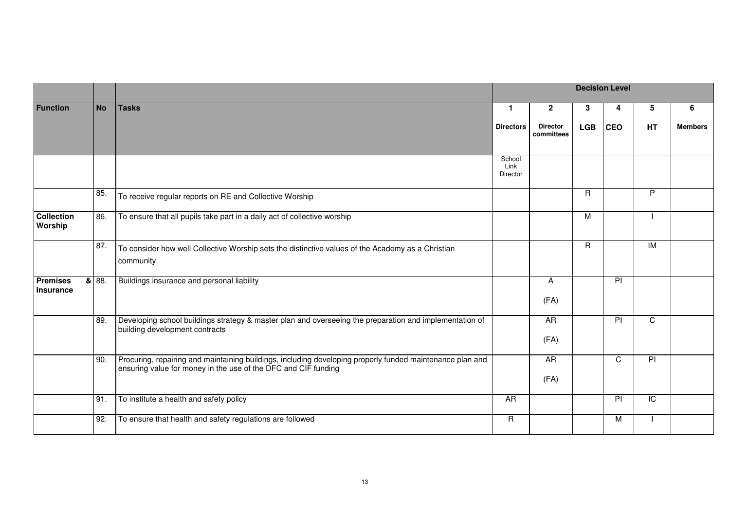|                                     |           |                                                                                                                                                                             |                            |                               |            | <b>Decision Level</b> |                |                |
|-------------------------------------|-----------|-----------------------------------------------------------------------------------------------------------------------------------------------------------------------------|----------------------------|-------------------------------|------------|-----------------------|----------------|----------------|
| <b>Function</b>                     | <b>No</b> | <b>Tasks</b>                                                                                                                                                                | $\mathbf{1}$               | $\mathbf{2}$                  | 3          | 4                     | 5              | 6              |
|                                     |           |                                                                                                                                                                             | <b>Directors</b>           | <b>Director</b><br>committees | <b>LGB</b> | <b>CEO</b>            | HT             | <b>Members</b> |
|                                     |           |                                                                                                                                                                             | School<br>Link<br>Director |                               |            |                       |                |                |
|                                     | 85.       | To receive regular reports on RE and Collective Worship                                                                                                                     |                            |                               | R          |                       | P              |                |
| <b>Collection</b><br>Worship        | 86.       | To ensure that all pupils take part in a daily act of collective worship                                                                                                    |                            |                               | M          |                       |                |                |
|                                     | 87.       | To consider how well Collective Worship sets the distinctive values of the Academy as a Christian<br>community                                                              |                            |                               | R          |                       | IM             |                |
| <b>Premises</b><br><b>Insurance</b> | 8 88.     | Buildings insurance and personal liability                                                                                                                                  |                            | A<br>(FA)                     |            | PI                    |                |                |
|                                     | 89.       | Developing school buildings strategy & master plan and overseeing the preparation and implementation of<br>building development contracts                                   |                            | AR<br>(FA)                    |            | PI                    | $\mathsf{C}$   |                |
|                                     | 90.       | Procuring, repairing and maintaining buildings, including developing properly funded maintenance plan and<br>ensuring value for money in the use of the DFC and CIF funding |                            | <b>AR</b><br>(FA)             |            | $\mathsf{C}$          | $\overline{P}$ |                |
|                                     | 91.       | To institute a health and safety policy                                                                                                                                     | AR                         |                               |            | $\overline{P}$        | $\overline{C}$ |                |
|                                     | 92.       | To ensure that health and safety regulations are followed                                                                                                                   | $\mathsf{R}$               |                               |            | M                     |                |                |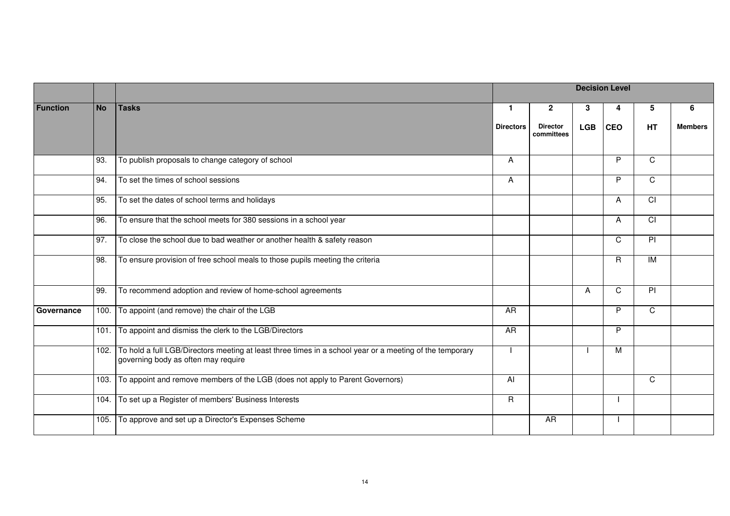|                 |           |                                                                                                                                                      |                  |                               |            | <b>Decision Level</b> |                |                |
|-----------------|-----------|------------------------------------------------------------------------------------------------------------------------------------------------------|------------------|-------------------------------|------------|-----------------------|----------------|----------------|
| <b>Function</b> | <b>No</b> | <b>Tasks</b>                                                                                                                                         | $\mathbf{1}$     | $\mathbf{2}$                  | 3          | 4                     | 5              | 6              |
|                 |           |                                                                                                                                                      | <b>Directors</b> | <b>Director</b><br>committees | <b>LGB</b> | <b>CEO</b>            | HT             | <b>Members</b> |
|                 | 93.       | To publish proposals to change category of school                                                                                                    | A                |                               |            | P                     | $\mathsf{C}$   |                |
|                 | 94.       | To set the times of school sessions                                                                                                                  | A                |                               |            | P                     | $\overline{C}$ |                |
|                 | 95.       | To set the dates of school terms and holidays                                                                                                        |                  |                               |            | A                     | $\overline{C}$ |                |
|                 | 96.       | To ensure that the school meets for 380 sessions in a school year                                                                                    |                  |                               |            | A                     | $\overline{C}$ |                |
|                 | 97.       | To close the school due to bad weather or another health & safety reason                                                                             |                  |                               |            | C                     | $\overline{P}$ |                |
|                 | 98.       | To ensure provision of free school meals to those pupils meeting the criteria                                                                        |                  |                               |            | $\mathsf{R}$          | $\overline{M}$ |                |
|                 | 99.       | To recommend adoption and review of home-school agreements                                                                                           |                  |                               | A          | C                     | PI             |                |
| Governance      |           | 100. To appoint (and remove) the chair of the LGB                                                                                                    | <b>AR</b>        |                               |            | P                     | $\overline{C}$ |                |
|                 |           | 101. To appoint and dismiss the clerk to the LGB/Directors                                                                                           | <b>AR</b>        |                               |            | P                     |                |                |
|                 |           | 102. To hold a full LGB/Directors meeting at least three times in a school year or a meeting of the temporary<br>governing body as often may require |                  |                               |            | M                     |                |                |
|                 |           | 103. To appoint and remove members of the LGB (does not apply to Parent Governors)                                                                   | Al               |                               |            |                       | $\mathsf{C}$   |                |
|                 |           | 104. To set up a Register of members' Business Interests                                                                                             | $\overline{R}$   |                               |            |                       |                |                |
|                 |           | 105. To approve and set up a Director's Expenses Scheme                                                                                              |                  | AR                            |            |                       |                |                |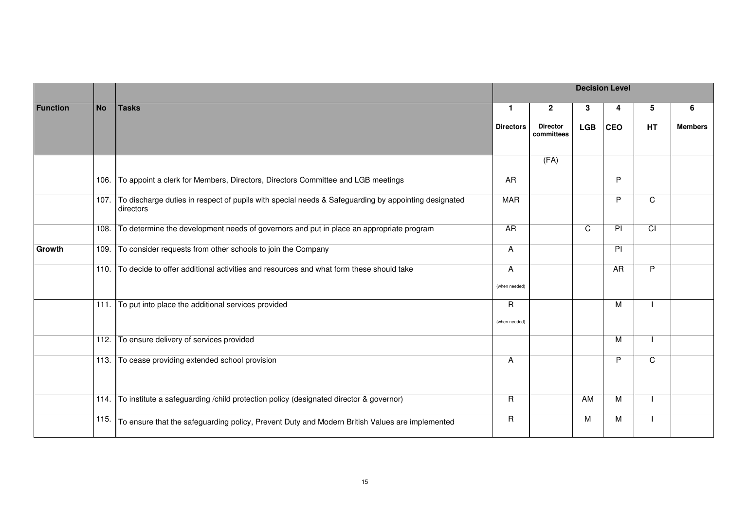|                 |           |                                                                                                                       | <b>Decision Level</b><br>$\mathbf{1}$<br>3<br>$\mathbf{2}$<br>4<br>5<br><b>LGB</b><br><b>CEO</b><br><b>HT</b><br><b>Directors</b><br><b>Director</b><br>committees<br>(FA)<br>P<br>AR<br>P<br>$\overline{C}$<br><b>MAR</b><br>$\overline{CI}$<br>AR<br>C<br>$\overline{P}$<br>PI<br>A<br>P<br>A<br>AR<br>(when needed)<br>$\mathsf{R}$<br>M<br>(when needed)<br>м<br>P<br>$\overline{C}$<br>A |  |    |   |  |                |
|-----------------|-----------|-----------------------------------------------------------------------------------------------------------------------|-----------------------------------------------------------------------------------------------------------------------------------------------------------------------------------------------------------------------------------------------------------------------------------------------------------------------------------------------------------------------------------------------|--|----|---|--|----------------|
| <b>Function</b> | <b>No</b> | <b>Tasks</b>                                                                                                          |                                                                                                                                                                                                                                                                                                                                                                                               |  |    |   |  | 6              |
|                 |           |                                                                                                                       |                                                                                                                                                                                                                                                                                                                                                                                               |  |    |   |  | <b>Members</b> |
|                 |           |                                                                                                                       |                                                                                                                                                                                                                                                                                                                                                                                               |  |    |   |  |                |
|                 | 106.      | To appoint a clerk for Members, Directors, Directors Committee and LGB meetings                                       |                                                                                                                                                                                                                                                                                                                                                                                               |  |    |   |  |                |
|                 |           | 107. To discharge duties in respect of pupils with special needs & Safeguarding by appointing designated<br>directors |                                                                                                                                                                                                                                                                                                                                                                                               |  |    |   |  |                |
|                 | 108.      | To determine the development needs of governors and put in place an appropriate program                               |                                                                                                                                                                                                                                                                                                                                                                                               |  |    |   |  |                |
| Growth          | 109.      | To consider requests from other schools to join the Company                                                           |                                                                                                                                                                                                                                                                                                                                                                                               |  |    |   |  |                |
|                 | 110.      | To decide to offer additional activities and resources and what form these should take                                |                                                                                                                                                                                                                                                                                                                                                                                               |  |    |   |  |                |
|                 |           | 111. To put into place the additional services provided                                                               |                                                                                                                                                                                                                                                                                                                                                                                               |  |    |   |  |                |
|                 | 112.      | To ensure delivery of services provided                                                                               |                                                                                                                                                                                                                                                                                                                                                                                               |  |    |   |  |                |
|                 | 113.      | To cease providing extended school provision                                                                          |                                                                                                                                                                                                                                                                                                                                                                                               |  |    |   |  |                |
|                 | 114.      | To institute a safeguarding /child protection policy (designated director & governor)                                 | $\mathsf{R}$                                                                                                                                                                                                                                                                                                                                                                                  |  | AM | M |  |                |
|                 | 115.      | To ensure that the safeguarding policy, Prevent Duty and Modern British Values are implemented                        | $\mathsf R$                                                                                                                                                                                                                                                                                                                                                                                   |  | м  | M |  |                |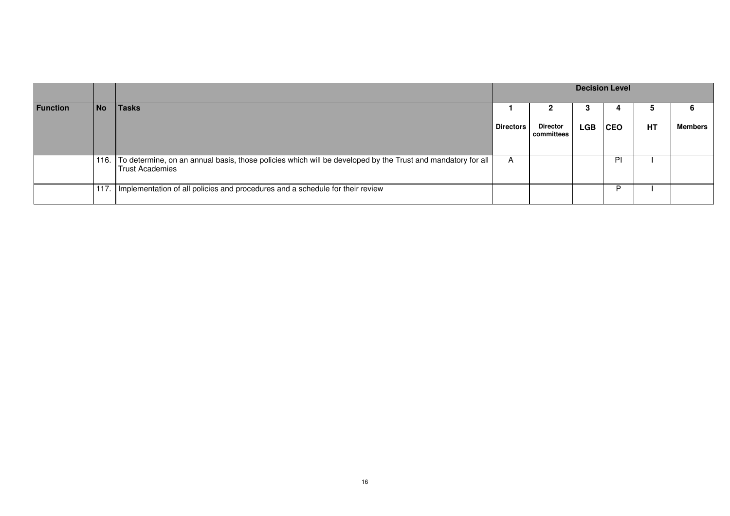|                 |           |                                                                                                                                            | <b>Decision Level</b> |                               |            |            |    |                |
|-----------------|-----------|--------------------------------------------------------------------------------------------------------------------------------------------|-----------------------|-------------------------------|------------|------------|----|----------------|
| <b>Function</b> | <b>No</b> | Tasks                                                                                                                                      |                       |                               |            |            | G  | 6              |
|                 |           |                                                                                                                                            | <b>Directors</b>      | <b>Director</b><br>committees | <b>LGB</b> | <b>CEO</b> | HT | <b>Members</b> |
|                 |           | 116. To determine, on an annual basis, those policies which will be developed by the Trust and mandatory for all<br><b>Trust Academies</b> | A                     |                               |            | ΡI         |    |                |
|                 |           | 117. Implementation of all policies and procedures and a schedule for their review                                                         |                       |                               |            |            |    |                |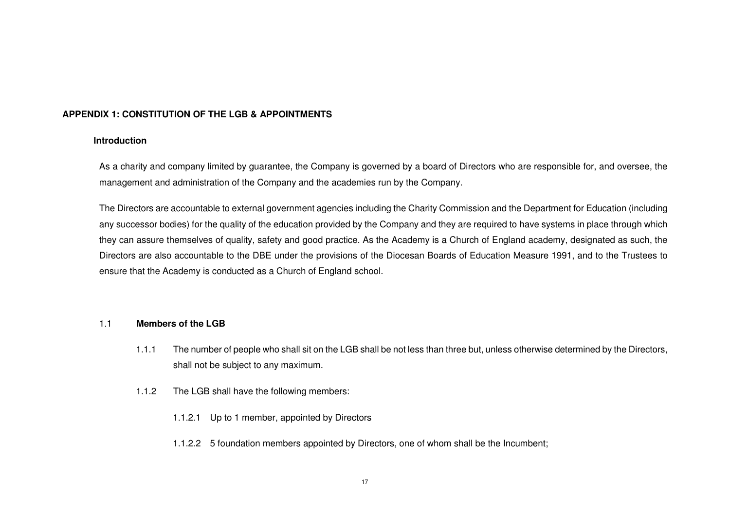#### **APPENDIX 1: CONSTITUTION OF THE LGB & APPOINTMENTS**

#### **Introduction**

As a charity and company limited by guarantee, the Company is governed by a board of Directors who are responsible for, and oversee, the management and administration of the Company and the academies run by the Company.

The Directors are accountable to external government agencies including the Charity Commission and the Department for Education (including any successor bodies) for the quality of the education provided by the Company and they are required to have systems in place through which they can assure themselves of quality, safety and good practice. As the Academy is a Church of England academy, designated as such, the Directors are also accountable to the DBE under the provisions of the Diocesan Boards of Education Measure 1991, and to the Trustees to ensure that the Academy is conducted as a Church of England school.

### 1.1 **Members of the LGB**

- 1.1.1 The number of people who shall sit on the LGB shall be not less than three but, unless otherwise determined by the Directors, shall not be subject to any maximum.
- 1.1.2 The LGB shall have the following members:
	- 1.1.2.1 Up to 1 member, appointed by Directors
	- 1.1.2.2 5 foundation members appointed by Directors, one of whom shall be the Incumbent;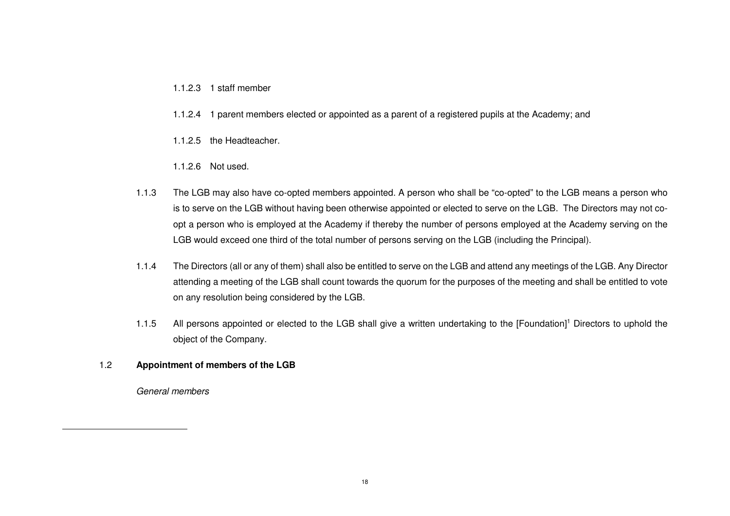#### 1.1.2.3 1 staff member

- 1.1.2.4 1 parent members elected or appointed as a parent of a registered pupils at the Academy; and
- 1.1.2.5 the Headteacher.
- 1.1.2.6 Not used.
- 1.1.3 The LGB may also have co-opted members appointed. A person who shall be "co-opted" to the LGB means a person who is to serve on the LGB without having been otherwise appointed or elected to serve on the LGB. The Directors may not coopt a person who is employed at the Academy if thereby the number of persons employed at the Academy serving on the LGB would exceed one third of the total number of persons serving on the LGB (including the Principal).
- 1.1.4 The Directors (all or any of them) shall also be entitled to serve on the LGB and attend any meetings of the LGB. Any Director attending a meeting of the LGB shall count towards the quorum for the purposes of the meeting and shall be entitled to vote on any resolution being considered by the LGB.
- 1.1.5 All persons appointed or elected to the LGB shall give a written undertaking to the [Foundation]1 Directors to uphold the object of the Company.

#### 1.2 **Appointment of members of the LGB**

General members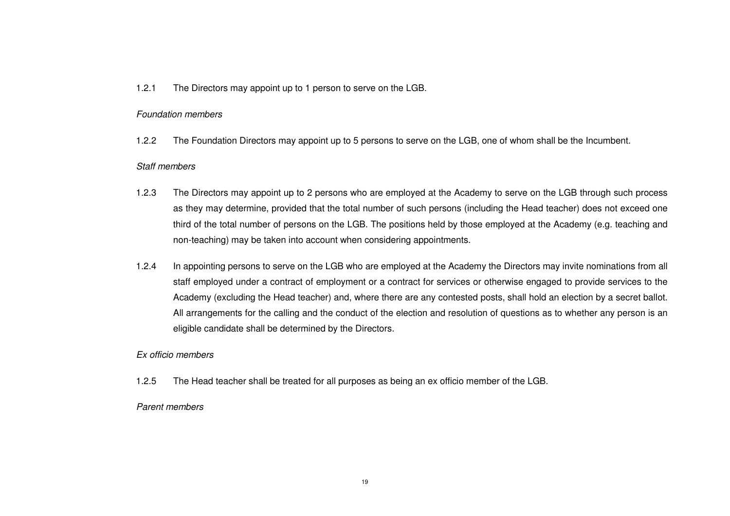#### 1.2.1 The Directors may appoint up to 1 person to serve on the LGB.

#### Foundation members

1.2.2 The Foundation Directors may appoint up to 5 persons to serve on the LGB, one of whom shall be the Incumbent.

#### Staff members

- 1.2.3 The Directors may appoint up to 2 persons who are employed at the Academy to serve on the LGB through such process as they may determine, provided that the total number of such persons (including the Head teacher) does not exceed one third of the total number of persons on the LGB. The positions held by those employed at the Academy (e.g. teaching and non-teaching) may be taken into account when considering appointments.
- 1.2.4 In appointing persons to serve on the LGB who are employed at the Academy the Directors may invite nominations from all staff employed under a contract of employment or a contract for services or otherwise engaged to provide services to the Academy (excluding the Head teacher) and, where there are any contested posts, shall hold an election by a secret ballot. All arrangements for the calling and the conduct of the election and resolution of questions as to whether any person is an eligible candidate shall be determined by the Directors.

#### Ex officio members

1.2.5 The Head teacher shall be treated for all purposes as being an ex officio member of the LGB.

#### Parent members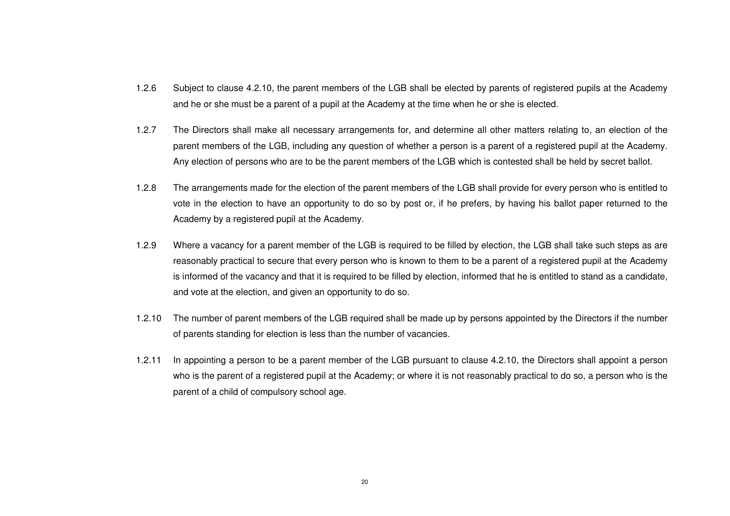- 1.2.6 Subject to clause 4.2.10, the parent members of the LGB shall be elected by parents of registered pupils at the Academy and he or she must be a parent of a pupil at the Academy at the time when he or she is elected.
- 1.2.7 The Directors shall make all necessary arrangements for, and determine all other matters relating to, an election of the parent members of the LGB, including any question of whether a person is a parent of a registered pupil at the Academy. Any election of persons who are to be the parent members of the LGB which is contested shall be held by secret ballot.
- 1.2.8 The arrangements made for the election of the parent members of the LGB shall provide for every person who is entitled to vote in the election to have an opportunity to do so by post or, if he prefers, by having his ballot paper returned to the Academy by a registered pupil at the Academy.
- 1.2.9 Where a vacancy for a parent member of the LGB is required to be filled by election, the LGB shall take such steps as are reasonably practical to secure that every person who is known to them to be a parent of a registered pupil at the Academy is informed of the vacancy and that it is required to be filled by election, informed that he is entitled to stand as a candidate, and vote at the election, and given an opportunity to do so.
- 1.2.10 The number of parent members of the LGB required shall be made up by persons appointed by the Directors if the number of parents standing for election is less than the number of vacancies.
- 1.2.11 In appointing a person to be a parent member of the LGB pursuant to clause 4.2.10, the Directors shall appoint a person who is the parent of a registered pupil at the Academy; or where it is not reasonably practical to do so, a person who is the parent of a child of compulsory school age.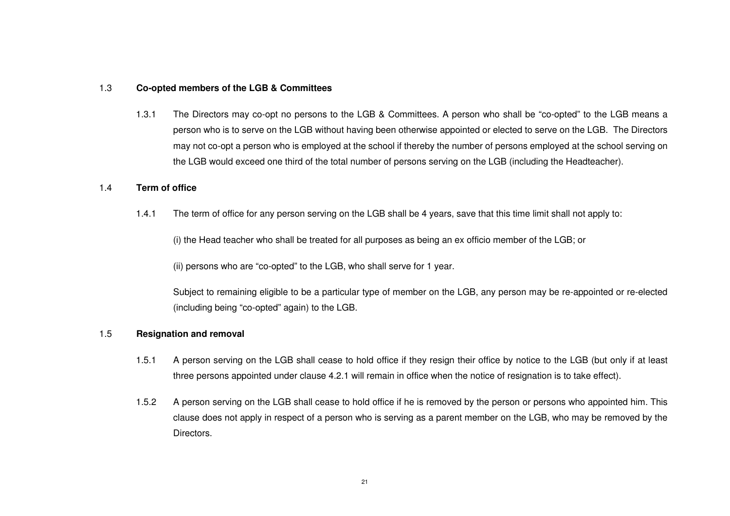#### 1.3 **Co-opted members of the LGB & Committees**

1.3.1 The Directors may co-opt no persons to the LGB & Committees. A person who shall be "co-opted" to the LGB means a person who is to serve on the LGB without having been otherwise appointed or elected to serve on the LGB. The Directors may not co-opt a person who is employed at the school if thereby the number of persons employed at the school serving on the LGB would exceed one third of the total number of persons serving on the LGB (including the Headteacher).

#### 1.4 **Term of office**

1.4.1 The term of office for any person serving on the LGB shall be 4 years, save that this time limit shall not apply to:

(i) the Head teacher who shall be treated for all purposes as being an ex officio member of the LGB; or

(ii) persons who are "co-opted" to the LGB, who shall serve for 1 year.

Subject to remaining eligible to be a particular type of member on the LGB, any person may be re-appointed or re-elected (including being "co-opted" again) to the LGB.

#### 1.5 **Resignation and removal**

- 1.5.1 A person serving on the LGB shall cease to hold office if they resign their office by notice to the LGB (but only if at least three persons appointed under clause 4.2.1 will remain in office when the notice of resignation is to take effect).
- 1.5.2 A person serving on the LGB shall cease to hold office if he is removed by the person or persons who appointed him. This clause does not apply in respect of a person who is serving as a parent member on the LGB, who may be removed by the Directors.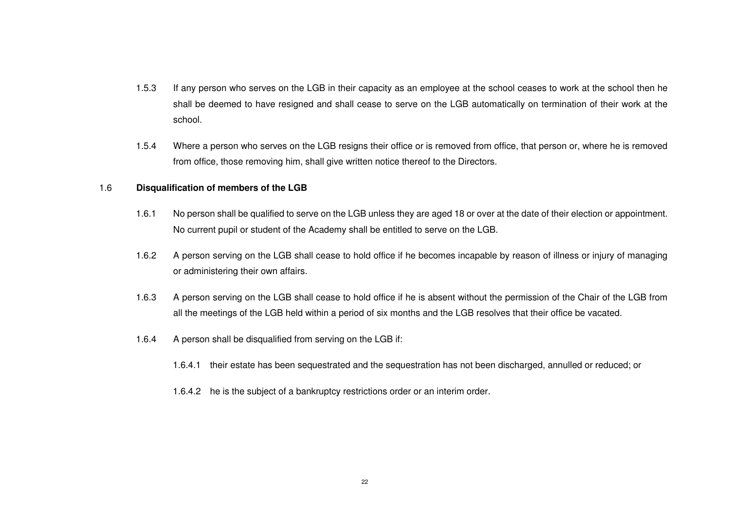- 1.5.3 If any person who serves on the LGB in their capacity as an employee at the school ceases to work at the school then he shall be deemed to have resigned and shall cease to serve on the LGB automatically on termination of their work at the school.
- 1.5.4 Where a person who serves on the LGB resigns their office or is removed from office, that person or, where he is removed from office, those removing him, shall give written notice thereof to the Directors.

#### 1.6 **Disqualification of members of the LGB**

- 1.6.1 No person shall be qualified to serve on the LGB unless they are aged 18 or over at the date of their election or appointment. No current pupil or student of the Academy shall be entitled to serve on the LGB.
- 1.6.2 A person serving on the LGB shall cease to hold office if he becomes incapable by reason of illness or injury of managing or administering their own affairs.
- 1.6.3 A person serving on the LGB shall cease to hold office if he is absent without the permission of the Chair of the LGB from all the meetings of the LGB held within a period of six months and the LGB resolves that their office be vacated.
- 1.6.4 A person shall be disqualified from serving on the LGB if:
	- 1.6.4.1 their estate has been sequestrated and the sequestration has not been discharged, annulled or reduced; or
	- 1.6.4.2 he is the subject of a bankruptcy restrictions order or an interim order.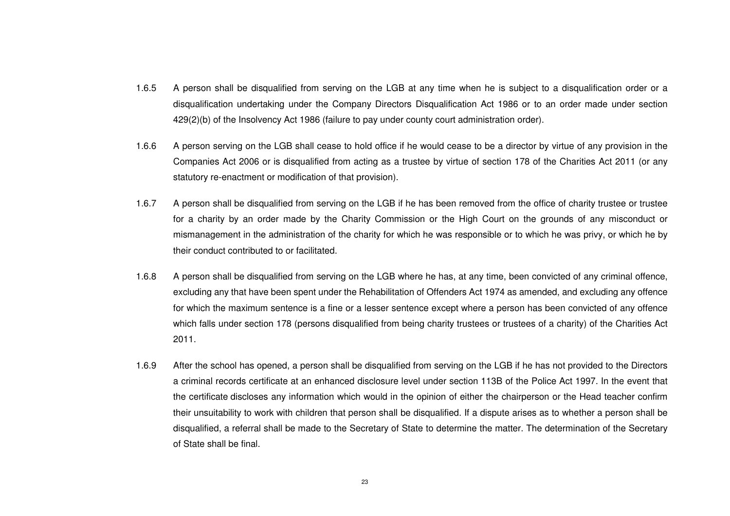- 1.6.5 A person shall be disqualified from serving on the LGB at any time when he is subject to a disqualification order or a disqualification undertaking under the Company Directors Disqualification Act 1986 or to an order made under section 429(2)(b) of the Insolvency Act 1986 (failure to pay under county court administration order).
- 1.6.6 A person serving on the LGB shall cease to hold office if he would cease to be a director by virtue of any provision in the Companies Act 2006 or is disqualified from acting as a trustee by virtue of section 178 of the Charities Act 2011 (or any statutory re-enactment or modification of that provision).
- 1.6.7 A person shall be disqualified from serving on the LGB if he has been removed from the office of charity trustee or trustee for a charity by an order made by the Charity Commission or the High Court on the grounds of any misconduct or mismanagement in the administration of the charity for which he was responsible or to which he was privy, or which he by their conduct contributed to or facilitated.
- 1.6.8 A person shall be disqualified from serving on the LGB where he has, at any time, been convicted of any criminal offence, excluding any that have been spent under the Rehabilitation of Offenders Act 1974 as amended, and excluding any offence for which the maximum sentence is a fine or a lesser sentence except where a person has been convicted of any offence which falls under section 178 (persons disqualified from being charity trustees or trustees of a charity) of the Charities Act 2011.
- 1.6.9 After the school has opened, a person shall be disqualified from serving on the LGB if he has not provided to the Directors a criminal records certificate at an enhanced disclosure level under section 113B of the Police Act 1997. In the event that the certificate discloses any information which would in the opinion of either the chairperson or the Head teacher confirm their unsuitability to work with children that person shall be disqualified. If a dispute arises as to whether a person shall be disqualified, a referral shall be made to the Secretary of State to determine the matter. The determination of the Secretary of State shall be final.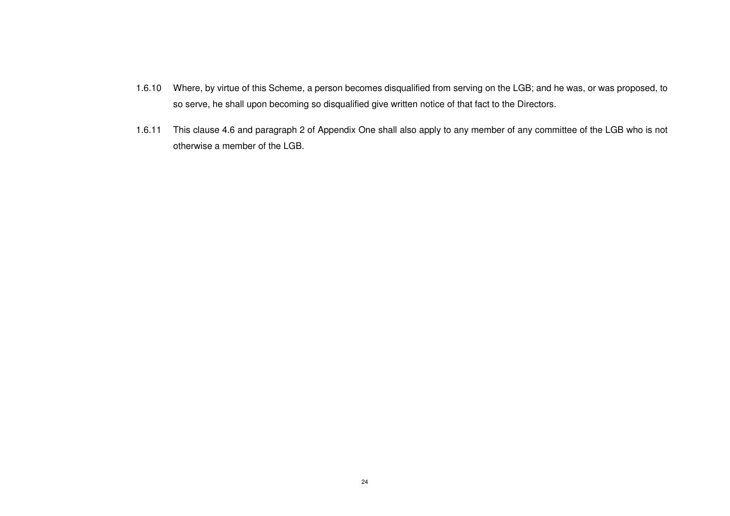- 1.6.10 Where, by virtue of this Scheme, a person becomes disqualified from serving on the LGB; and he was, or was proposed, to so serve, he shall upon becoming so disqualified give written notice of that fact to the Directors.
- 1.6.11 This clause 4.6 and paragraph 2 of Appendix One shall also apply to any member of any committee of the LGB who is not otherwise a member of the LGB.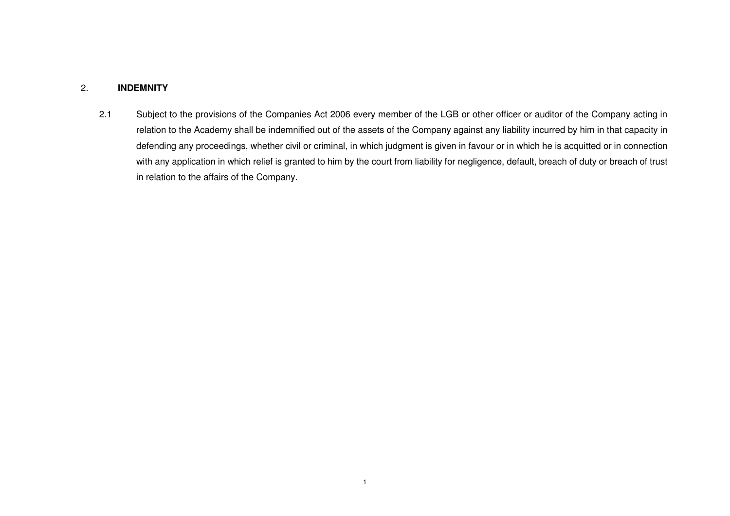# 2. **INDEMNITY**

2.1 Subject to the provisions of the Companies Act 2006 every member of the LGB or other officer or auditor of the Company acting in relation to the Academy shall be indemnified out of the assets of the Company against any liability incurred by him in that capacity in defending any proceedings, whether civil or criminal, in which judgment is given in favour or in which he is acquitted or in connection with any application in which relief is granted to him by the court from liability for negligence, default, breach of duty or breach of trust in relation to the affairs of the Company.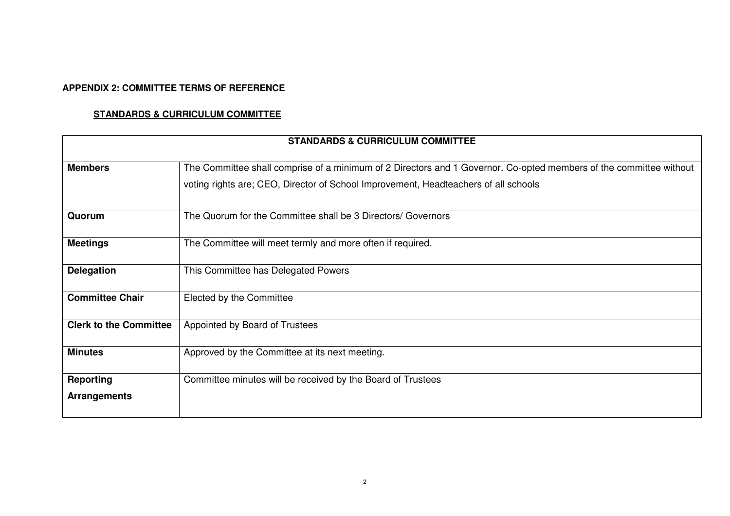# **APPENDIX 2: COMMITTEE TERMS OF REFERENCE**

# **STANDARDS & CURRICULUM COMMITTEE**

| <b>STANDARDS &amp; CURRICULUM COMMITTEE</b> |                                                                                                                                                                                                           |  |
|---------------------------------------------|-----------------------------------------------------------------------------------------------------------------------------------------------------------------------------------------------------------|--|
| <b>Members</b>                              | The Committee shall comprise of a minimum of 2 Directors and 1 Governor. Co-opted members of the committee without<br>voting rights are; CEO, Director of School Improvement, Headteachers of all schools |  |
| Quorum                                      | The Quorum for the Committee shall be 3 Directors/ Governors                                                                                                                                              |  |
| <b>Meetings</b>                             | The Committee will meet termly and more often if required.                                                                                                                                                |  |
| <b>Delegation</b>                           | This Committee has Delegated Powers                                                                                                                                                                       |  |
| <b>Committee Chair</b>                      | Elected by the Committee                                                                                                                                                                                  |  |
| <b>Clerk to the Committee</b>               | Appointed by Board of Trustees                                                                                                                                                                            |  |
| <b>Minutes</b>                              | Approved by the Committee at its next meeting.                                                                                                                                                            |  |
| <b>Reporting</b><br><b>Arrangements</b>     | Committee minutes will be received by the Board of Trustees                                                                                                                                               |  |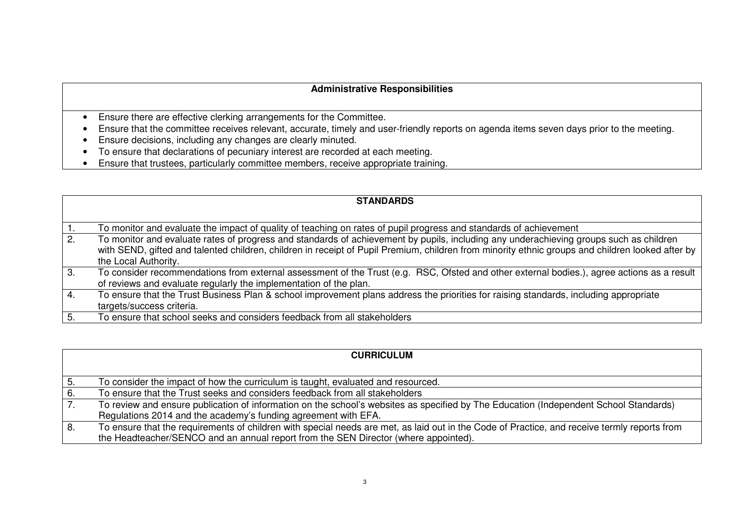# **Administrative Responsibilities**

- Ensure there are effective clerking arrangements for the Committee.
- Ensure that the committee receives relevant, accurate, timely and user-friendly reports on agenda items seven days prior to the meeting.
- Ensure decisions, including any changes are clearly minuted.
- To ensure that declarations of pecuniary interest are recorded at each meeting.
- **Ensure that trustees, particularly committee members, receive appropriate training.** •

|                  | <b>STANDARDS</b>                                                                                                                                                                                                                                                                                                   |
|------------------|--------------------------------------------------------------------------------------------------------------------------------------------------------------------------------------------------------------------------------------------------------------------------------------------------------------------|
| $\overline{1}$ . | To monitor and evaluate the impact of quality of teaching on rates of pupil progress and standards of achievement                                                                                                                                                                                                  |
| $\overline{2}$ . | To monitor and evaluate rates of progress and standards of achievement by pupils, including any underachieving groups such as children<br>with SEND, gifted and talented children, children in receipt of Pupil Premium, children from minority ethnic groups and children looked after by<br>the Local Authority. |
| 3.               | To consider recommendations from external assessment of the Trust (e.g. RSC, Ofsted and other external bodies.), agree actions as a result<br>of reviews and evaluate regularly the implementation of the plan.                                                                                                    |
| 4.               | To ensure that the Trust Business Plan & school improvement plans address the priorities for raising standards, including appropriate<br>targets/success criteria.                                                                                                                                                 |
| 5.               | To ensure that school seeks and considers feedback from all stakeholders                                                                                                                                                                                                                                           |

|                  | <b>CURRICULUM</b>                                                                                                                            |
|------------------|----------------------------------------------------------------------------------------------------------------------------------------------|
|                  |                                                                                                                                              |
| 5.               | To consider the impact of how the curriculum is taught, evaluated and resourced.                                                             |
| 6.               | To ensure that the Trust seeks and considers feedback from all stakeholders                                                                  |
| $\overline{7}$ . | To review and ensure publication of information on the school's websites as specified by The Education (Independent School Standards)        |
|                  | Regulations 2014 and the academy's funding agreement with EFA.                                                                               |
| l 8.             | To ensure that the requirements of children with special needs are met, as laid out in the Code of Practice, and receive termly reports from |
|                  | the Headteacher/SENCO and an annual report from the SEN Director (where appointed).                                                          |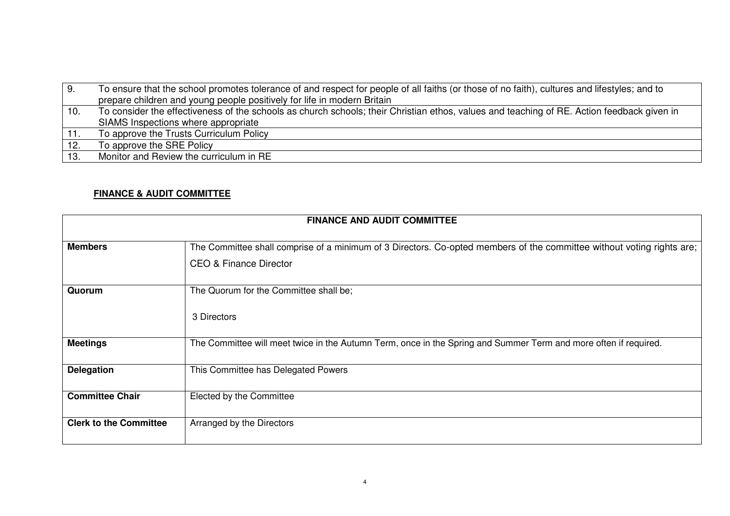| l 9. | To ensure that the school promotes tolerance of and respect for people of all faiths (or those of no faith), cultures and lifestyles; and to |
|------|----------------------------------------------------------------------------------------------------------------------------------------------|
|      | prepare children and young people positively for life in modern Britain                                                                      |
| 10.  | To consider the effectiveness of the schools as church schools; their Christian ethos, values and teaching of RE. Action feedback given in   |
|      | SIAMS Inspections where appropriate                                                                                                          |
| 11.  | To approve the Trusts Curriculum Policy                                                                                                      |
| 12.  | To approve the SRE Policy                                                                                                                    |
| 13.  | Monitor and Review the curriculum in RE                                                                                                      |

# **FINANCE & AUDIT COMMITTEE**

| <b>FINANCE AND AUDIT COMMITTEE</b> |                                                                                                                                                  |  |
|------------------------------------|--------------------------------------------------------------------------------------------------------------------------------------------------|--|
| <b>Members</b>                     | The Committee shall comprise of a minimum of 3 Directors. Co-opted members of the committee without voting rights are;<br>CEO & Finance Director |  |
| Quorum                             | The Quorum for the Committee shall be;<br>3 Directors                                                                                            |  |
| <b>Meetings</b>                    | The Committee will meet twice in the Autumn Term, once in the Spring and Summer Term and more often if required.                                 |  |
| <b>Delegation</b>                  | This Committee has Delegated Powers                                                                                                              |  |
| <b>Committee Chair</b>             | Elected by the Committee                                                                                                                         |  |
| <b>Clerk to the Committee</b>      | Arranged by the Directors                                                                                                                        |  |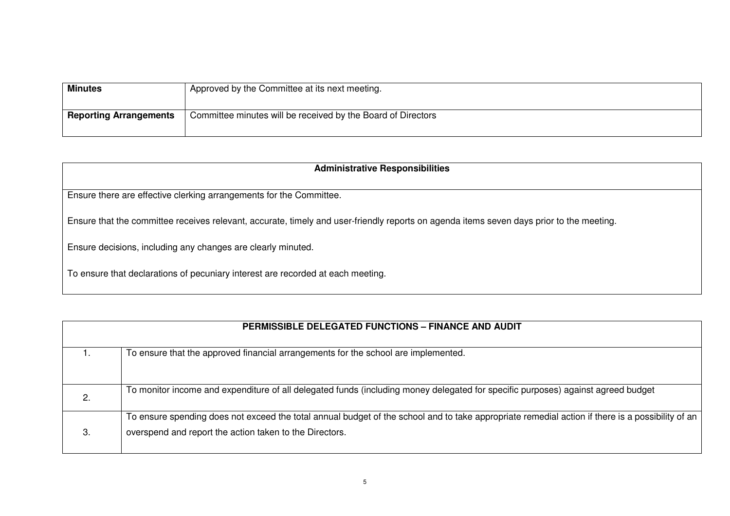| <b>Minutes</b>                | Approved by the Committee at its next meeting.               |
|-------------------------------|--------------------------------------------------------------|
| <b>Reporting Arrangements</b> | Committee minutes will be received by the Board of Directors |

| <b>Administrative Responsibilities</b>                                                                                                   |
|------------------------------------------------------------------------------------------------------------------------------------------|
| Ensure there are effective clerking arrangements for the Committee.                                                                      |
| Ensure that the committee receives relevant, accurate, timely and user-friendly reports on agenda items seven days prior to the meeting. |
| Ensure decisions, including any changes are clearly minuted.                                                                             |
| To ensure that declarations of pecuniary interest are recorded at each meeting.                                                          |

|    | <b>PERMISSIBLE DELEGATED FUNCTIONS - FINANCE AND AUDIT</b>                                                                                                                                                  |
|----|-------------------------------------------------------------------------------------------------------------------------------------------------------------------------------------------------------------|
|    | To ensure that the approved financial arrangements for the school are implemented.                                                                                                                          |
| 2. | To monitor income and expenditure of all delegated funds (including money delegated for specific purposes) against agreed budget                                                                            |
| З. | To ensure spending does not exceed the total annual budget of the school and to take appropriate remedial action if there is a possibility of an<br>overspend and report the action taken to the Directors. |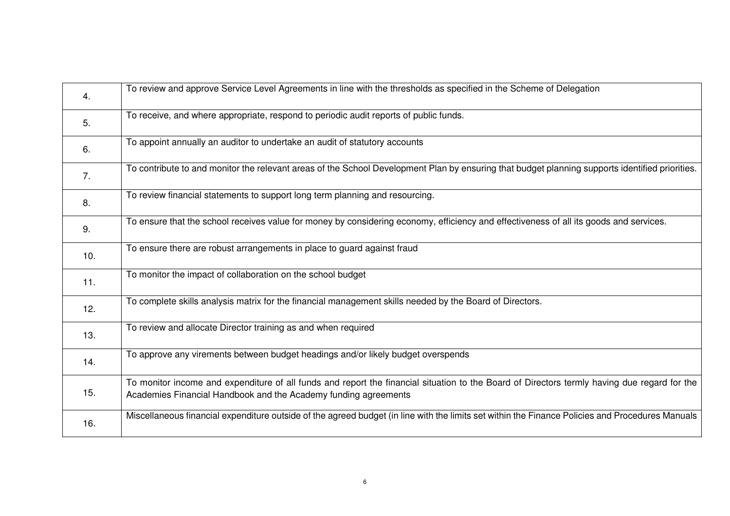| 4.  | To review and approve Service Level Agreements in line with the thresholds as specified in the Scheme of Delegation                                                                                             |
|-----|-----------------------------------------------------------------------------------------------------------------------------------------------------------------------------------------------------------------|
| 5.  | To receive, and where appropriate, respond to periodic audit reports of public funds.                                                                                                                           |
| 6.  | To appoint annually an auditor to undertake an audit of statutory accounts                                                                                                                                      |
| 7.  | To contribute to and monitor the relevant areas of the School Development Plan by ensuring that budget planning supports identified priorities.                                                                 |
| 8.  | To review financial statements to support long term planning and resourcing.                                                                                                                                    |
| 9.  | To ensure that the school receives value for money by considering economy, efficiency and effectiveness of all its goods and services.                                                                          |
| 10. | To ensure there are robust arrangements in place to guard against fraud                                                                                                                                         |
| 11. | To monitor the impact of collaboration on the school budget                                                                                                                                                     |
| 12. | To complete skills analysis matrix for the financial management skills needed by the Board of Directors.                                                                                                        |
| 13. | To review and allocate Director training as and when required                                                                                                                                                   |
| 14. | To approve any virements between budget headings and/or likely budget overspends                                                                                                                                |
| 15. | To monitor income and expenditure of all funds and report the financial situation to the Board of Directors termly having due regard for the<br>Academies Financial Handbook and the Academy funding agreements |
| 16. | Miscellaneous financial expenditure outside of the agreed budget (in line with the limits set within the Finance Policies and Procedures Manuals                                                                |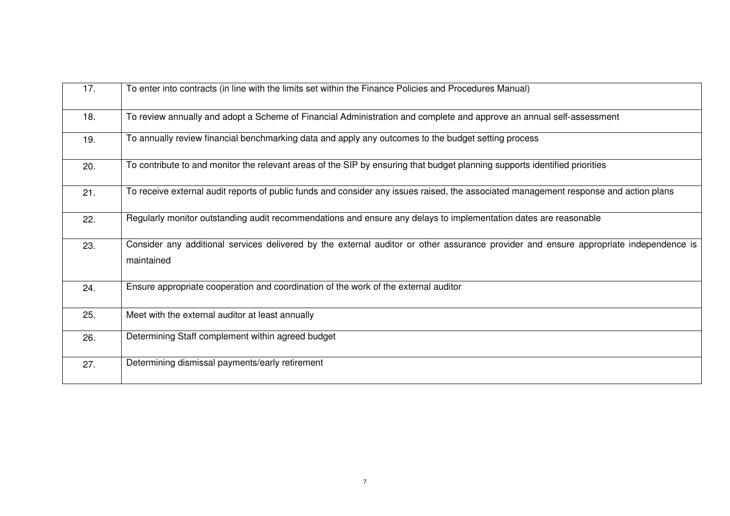| 17. | To enter into contracts (in line with the limits set within the Finance Policies and Procedures Manual)                                             |
|-----|-----------------------------------------------------------------------------------------------------------------------------------------------------|
| 18. | To review annually and adopt a Scheme of Financial Administration and complete and approve an annual self-assessment                                |
| 19. | To annually review financial benchmarking data and apply any outcomes to the budget setting process                                                 |
| 20. | To contribute to and monitor the relevant areas of the SIP by ensuring that budget planning supports identified priorities                          |
| 21. | To receive external audit reports of public funds and consider any issues raised, the associated management response and action plans               |
| 22. | Regularly monitor outstanding audit recommendations and ensure any delays to implementation dates are reasonable                                    |
| 23. | Consider any additional services delivered by the external auditor or other assurance provider and ensure appropriate independence is<br>maintained |
| 24. | Ensure appropriate cooperation and coordination of the work of the external auditor                                                                 |
| 25. | Meet with the external auditor at least annually                                                                                                    |
| 26. | Determining Staff complement within agreed budget                                                                                                   |
| 27. | Determining dismissal payments/early retirement                                                                                                     |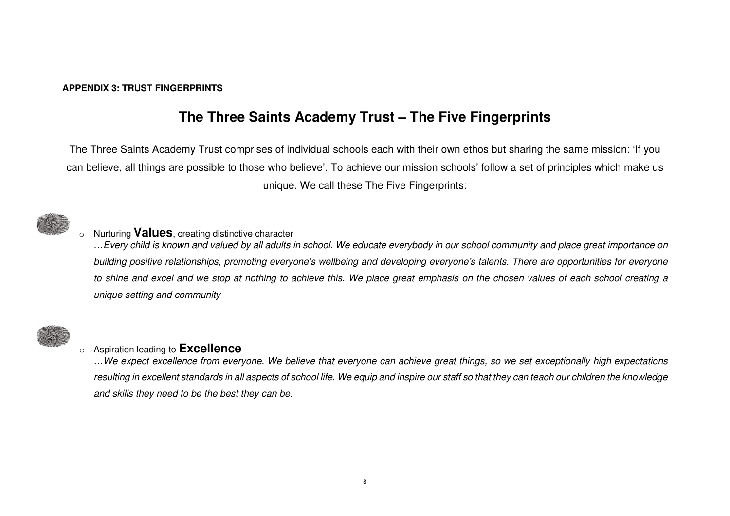### **APPENDIX 3: TRUST FINGERPRINTS**

# **The Three Saints Academy Trust – The Five Fingerprints**

The Three Saints Academy Trust comprises of individual schools each with their own ethos but sharing the same mission: 'If you can believe, all things are possible to those who believe'. To achieve our mission schools' follow a set of principles which make us unique. We call these The Five Fingerprints:



# <sup>o</sup> Nurturing **Values**, creating distinctive character

 …Every child is known and valued by all adults in school. We educate everybody in our school community and place great importance on building positive relationships, promoting everyone's wellbeing and developing everyone's talents. There are opportunities for everyone to shine and excel and we stop at nothing to achieve this. We place great emphasis on the chosen values of each school creating a unique setting and community



# o Aspiration leading to **Excellence**

 …We expect excellence from everyone. We believe that everyone can achieve great things, so we set exceptionally high expectations resulting in excellent standards in all aspects of school life. We equip and inspire our staff so that they can teach our children the knowledge and skills they need to be the best they can be.